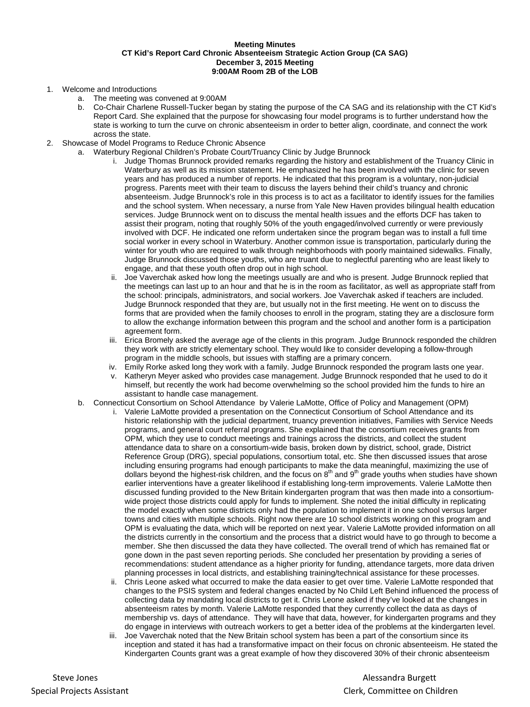## **Meeting Minutes CT Kid's Report Card Chronic Absenteeism Strategic Action Group (CA SAG) December 3, 2015 Meeting 9:00AM Room 2B of the LOB**

## 1. Welcome and Introductions

- a. The meeting was convened at 9:00AM
- b. Co-Chair Charlene Russell-Tucker began by stating the purpose of the CA SAG and its relationship with the CT Kid's Report Card. She explained that the purpose for showcasing four model programs is to further understand how the state is working to turn the curve on chronic absenteeism in order to better align, coordinate, and connect the work across the state.
- 2. Showcase of Model Programs to Reduce Chronic Absence
	- a. Waterbury Regional Children's Probate Court/Truancy Clinic by Judge Brunnock
		- i. Judge Thomas Brunnock provided remarks regarding the history and establishment of the Truancy Clinic in Waterbury as well as its mission statement. He emphasized he has been involved with the clinic for seven years and has produced a number of reports. He indicated that this program is a voluntary, non-judicial progress. Parents meet with their team to discuss the layers behind their child's truancy and chronic absenteeism. Judge Brunnock's role in this process is to act as a facilitator to identify issues for the families and the school system. When necessary, a nurse from Yale New Haven provides bilingual health education services. Judge Brunnock went on to discuss the mental health issues and the efforts DCF has taken to assist their program, noting that roughly 50% of the youth engaged/involved currently or were previously involved with DCF. He indicated one reform undertaken since the program began was to install a full time social worker in every school in Waterbury. Another common issue is transportation, particularly during the winter for youth who are required to walk through neighborhoods with poorly maintained sidewalks. Finally, Judge Brunnock discussed those youths, who are truant due to neglectful parenting who are least likely to engage, and that these youth often drop out in high school.
		- ii. Joe Vaverchak asked how long the meetings usually are and who is present. Judge Brunnock replied that the meetings can last up to an hour and that he is in the room as facilitator, as well as appropriate staff from the school: principals, administrators, and social workers. Joe Vaverchak asked if teachers are included. Judge Brunnock responded that they are, but usually not in the first meeting. He went on to discuss the forms that are provided when the family chooses to enroll in the program, stating they are a disclosure form to allow the exchange information between this program and the school and another form is a participation agreement form.
		- iii. Erica Bromely asked the average age of the clients in this program. Judge Brunnock responded the children they work with are strictly elementary school. They would like to consider developing a follow-through program in the middle schools, but issues with staffing are a primary concern.
		- iv. Emily Rorke asked long they work with a family. Judge Brunnock responded the program lasts one year.
		- v. Katheryn Meyer asked who provides case management. Judge Brunnock responded that he used to do it himself, but recently the work had become overwhelming so the school provided him the funds to hire an assistant to handle case management.
		- b. Connecticut Consortium on School Attendance by Valerie LaMotte, Office of Policy and Management (OPM)
			- Valerie LaMotte provided a presentation on the Connecticut Consortium of School Attendance and its historic relationship with the judicial department, truancy prevention initiatives, Families with Service Needs programs, and general court referral programs. She explained that the consortium receives grants from OPM, which they use to conduct meetings and trainings across the districts, and collect the student attendance data to share on a consortium-wide basis, broken down by district, school, grade, District Reference Group (DRG), special populations, consortium total, etc. She then discussed issues that arose including ensuring programs had enough participants to make the data meaningful, maximizing the use of dollars beyond the highest-risk children, and the focus on  $8<sup>th</sup>$  and  $9<sup>th</sup>$  grade youths when studies have shown earlier interventions have a greater likelihood if establishing long-term improvements. Valerie LaMotte then discussed funding provided to the New Britain kindergarten program that was then made into a consortiumwide project those districts could apply for funds to implement. She noted the initial difficulty in replicating the model exactly when some districts only had the population to implement it in one school versus larger towns and cities with multiple schools. Right now there are 10 school districts working on this program and OPM is evaluating the data, which will be reported on next year. Valerie LaMotte provided information on all the districts currently in the consortium and the process that a district would have to go through to become a member. She then discussed the data they have collected. The overall trend of which has remained flat or gone down in the past seven reporting periods. She concluded her presentation by providing a series of recommendations: student attendance as a higher priority for funding, attendance targets, more data driven planning processes in local districts, and establishing training/technical assistance for these processes.
			- ii. Chris Leone asked what occurred to make the data easier to get over time. Valerie LaMotte responded that changes to the PSIS system and federal changes enacted by No Child Left Behind influenced the process of collecting data by mandating local districts to get it. Chris Leone asked if they've looked at the changes in absenteeism rates by month. Valerie LaMotte responded that they currently collect the data as days of membership vs. days of attendance. They will have that data, however, for kindergarten programs and they do engage in interviews with outreach workers to get a better idea of the problems at the kindergarten level.
			- iii. Joe Vaverchak noted that the New Britain school system has been a part of the consortium since its inception and stated it has had a transformative impact on their focus on chronic absenteeism. He stated the Kindergarten Counts grant was a great example of how they discovered 30% of their chronic absenteeism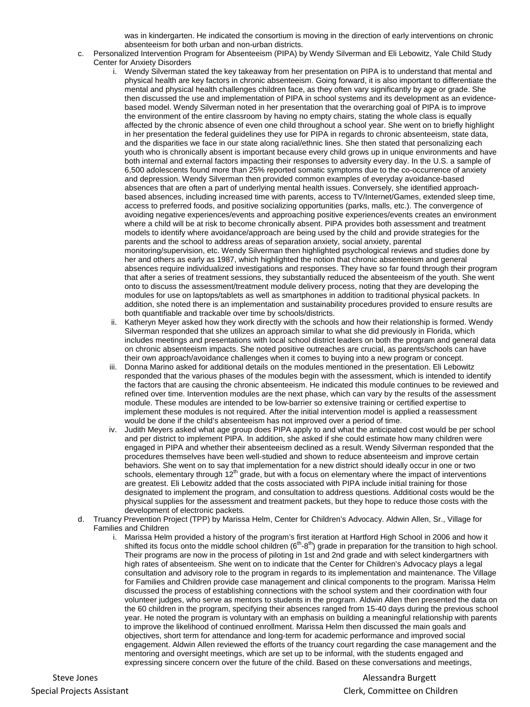was in kindergarten. He indicated the consortium is moving in the direction of early interventions on chronic absenteeism for both urban and non-urban districts.

- c. Personalized Intervention Program for Absenteeism (PIPA) by Wendy Silverman and Eli Lebowitz, Yale Child Study Center for Anxiety Disorders
	- i. Wendy Silverman stated the key takeaway from her presentation on PIPA is to understand that mental and physical health are key factors in chronic absenteeism. Going forward, it is also important to differentiate the mental and physical health challenges children face, as they often vary significantly by age or grade. She then discussed the use and implementation of PIPA in school systems and its development as an evidencebased model. Wendy Silverman noted in her presentation that the overarching goal of PIPA is to improve the environment of the entire classroom by having no empty chairs, stating the whole class is equally affected by the chronic absence of even one child throughout a school year. She went on to briefly highlight in her presentation the federal guidelines they use for PIPA in regards to chronic absenteeism, state data, and the disparities we face in our state along racial/ethnic lines. She then stated that personalizing each youth who is chronically absent is important because every child grows up in unique environments and have both internal and external factors impacting their responses to adversity every day. In the U.S. a sample of 6,500 adolescents found more than 25% reported somatic symptoms due to the co-occurrence of anxiety and depression. Wendy Silverman then provided common examples of everyday avoidance-based absences that are often a part of underlying mental health issues. Conversely, she identified approachbased absences, including increased time with parents, access to TV/Internet/Games, extended sleep time, access to preferred foods, and positive socializing opportunities (parks, malls, etc.). The convergence of avoiding negative experiences/events and approaching positive experiences/events creates an environment where a child will be at risk to become chronically absent. PIPA provides both assessment and treatment models to identify where avoidance/approach are being used by the child and provide strategies for the parents and the school to address areas of separation anxiety, social anxiety, parental monitoring/supervision, etc. Wendy Silverman then highlighted psychological reviews and studies done by her and others as early as 1987, which highlighted the notion that chronic absenteeism and general absences require individualized investigations and responses. They have so far found through their program that after a series of treatment sessions, they substantially reduced the absenteeism of the youth. She went onto to discuss the assessment/treatment module delivery process, noting that they are developing the modules for use on laptops/tablets as well as smartphones in addition to traditional physical packets. In addition, she noted there is an implementation and sustainability procedures provided to ensure results are both quantifiable and trackable over time by schools/districts.
	- ii. Katheryn Meyer asked how they work directly with the schools and how their relationship is formed. Wendy Silverman responded that she utilizes an approach similar to what she did previously in Florida, which includes meetings and presentations with local school district leaders on both the program and general data on chronic absenteeism impacts. She noted positive outreaches are crucial, as parents/schools can have their own approach/avoidance challenges when it comes to buying into a new program or concept.
	- iii. Donna Marino asked for additional details on the modules mentioned in the presentation. Eli Lebowitz responded that the various phases of the modules begin with the assessment, which is intended to identify the factors that are causing the chronic absenteeism. He indicated this module continues to be reviewed and refined over time. Intervention modules are the next phase, which can vary by the results of the assessment module. These modules are intended to be low-barrier so extensive training or certified expertise to implement these modules is not required. After the initial intervention model is applied a reassessment would be done if the child's absenteeism has not improved over a period of time.
	- iv. Judith Meyers asked what age group does PIPA apply to and what the anticipated cost would be per school and per district to implement PIPA. In addition, she asked if she could estimate how many children were engaged in PIPA and whether their absenteeism declined as a result. Wendy Silverman responded that the procedures themselves have been well-studied and shown to reduce absenteeism and improve certain behaviors. She went on to say that implementation for a new district should ideally occur in one or two schools, elementary through 12<sup>th</sup> grade, but with a focus on elementary where the impact of interventions are greatest. Eli Lebowitz added that the costs associated with PIPA include initial training for those designated to implement the program, and consultation to address questions. Additional costs would be the physical supplies for the assessment and treatment packets, but they hope to reduce those costs with the development of electronic packets.
- d. Truancy Prevention Project (TPP) by Marissa Helm, Center for Children's Advocacy. Aldwin Allen, Sr., Village for Families and Children
	- i. Marissa Helm provided a history of the program's first iteration at Hartford High School in 2006 and how it shifted its focus onto the middle school children  $(6<sup>th</sup>-8<sup>th</sup>)$  grade in preparation for the transition to high school. Their programs are now in the process of piloting in 1st and 2nd grade and with select kindergartners with high rates of absenteeism. She went on to indicate that the Center for Children's Advocacy plays a legal consultation and advisory role to the program in regards to its implementation and maintenance. The Village for Families and Children provide case management and clinical components to the program. Marissa Helm discussed the process of establishing connections with the school system and their coordination with four volunteer judges, who serve as mentors to students in the program. Aldwin Allen then presented the data on the 60 children in the program, specifying their absences ranged from 15-40 days during the previous school year. He noted the program is voluntary with an emphasis on building a meaningful relationship with parents to improve the likelihood of continued enrollment. Marissa Helm then discussed the main goals and objectives, short term for attendance and long-term for academic performance and improved social engagement. Aldwin Allen reviewed the efforts of the truancy court regarding the case management and the mentoring and oversight meetings, which are set up to be informal, with the students engaged and expressing sincere concern over the future of the child. Based on these conversations and meetings,

Steve Jones **Alessandra Burgett** Communications and the Steve Jones Alessandra Burgett Special Projects Assistant **Clerk, Committee on Children** Clerk, Committee on Children